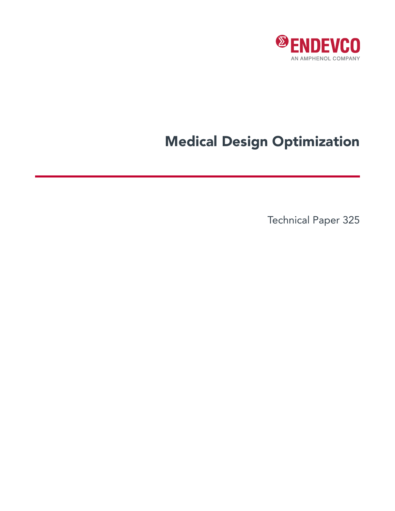

## Medical Design Optimization

Technical Paper 325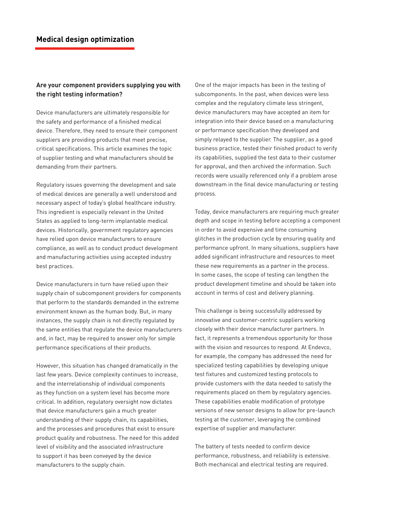## **Are your component providers supplying you with the right testing information?**

Device manufacturers are ultimately responsible for the safety and performance of a finished medical device. Therefore, they need to ensure their component suppliers are providing products that meet precise, critical specifications. This article examines the topic of supplier testing and what manufacturers should be demanding from their partners.

Regulatory issues governing the development and sale of medical devices are generally a well understood and necessary aspect of today's global healthcare industry. This ingredient is especially relevant in the United States as applied to long-term implantable medical devices. Historically, government regulatory agencies have relied upon device manufacturers to ensure compliance, as well as to conduct product development and manufacturing activities using accepted industry best practices.

Device manufacturers in turn have relied upon their supply chain of subcomponent providers for components that perform to the standards demanded in the extreme environment known as the human body. But, in many instances, the supply chain is not directly regulated by the same entities that regulate the device manufacturers and, in fact, may be required to answer only for simple performance specifications of their products.

However, this situation has changed dramatically in the last few years. Device complexity continues to increase, and the interrelationship of individual components as they function on a system level has become more critical. In addition, regulatory oversight now dictates that device manufacturers gain a much greater understanding of their supply chain, its capabilities, and the processes and procedures that exist to ensure product quality and robustness. The need for this added level of visibility and the associated infrastructure to support it has been conveyed by the device manufacturers to the supply chain.

One of the major impacts has been in the testing of subcomponents. In the past, when devices were less complex and the regulatory climate less stringent, device manufacturers may have accepted an item for integration into their device based on a manufacturing or performance specification they developed and simply relayed to the supplier. The supplier, as a good business practice, tested their finished product to verify its capabilities, supplied the test data to their customer for approval, and then archived the information. Such records were usually referenced only if a problem arose downstream in the final device manufacturing or testing process.

Today, device manufacturers are requiring much greater depth and scope in testing before accepting a component in order to avoid expensive and time consuming glitches in the production cycle by ensuring quality and performance upfront. In many situations, suppliers have added significant infrastructure and resources to meet these new requirements as a partner in the process. In some cases, the scope of testing can lengthen the product development timeline and should be taken into account in terms of cost and delivery planning.

This challenge is being successfully addressed by innovative and customer-centric suppliers working closely with their device manufacturer partners. In fact, it represents a tremendous opportunity for those with the vision and resources to respond. At Endevco, for example, the company has addressed the need for specialized testing capabilities by developing unique test fixtures and customized testing protocols to provide customers with the data needed to satisfy the requirements placed on them by regulatory agencies. These capabilities enable modification of prototype versions of new sensor designs to allow for pre-launch testing at the customer, leveraging the combined expertise of supplier and manufacturer.

The battery of tests needed to confirm device performance, robustness, and reliability is extensive. Both mechanical and electrical testing are required.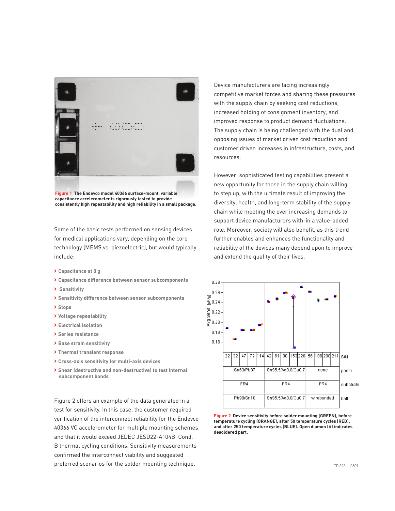

**Figure 1 The Endevco model 40366 surface-mount, variable capacitance accelerometer is rigorously tested to provide consistently high repeatability and high reliability in a small package.**

Some of the basic tests performed on sensing devices for medical applications vary, depending on the core technology (MEMS vs. piezoelectric), but would typically include:

- **> Capacitance at 0 g**
- **> Capacitance difference between sensor subcomponents**
- **> Sensitivity**
- **> Sensitivity difference between sensor subcomponents**
- **> Stops**
- **> Voltage repeatability**
- **> Electrical isolation**
- **> Series resistance**
- **> Base strain sensitivity**
- **> Thermal transient response**
- **> Cross-axis sensitivity for multi-axis devices**
- **> Shear (destructive and non-destructive) to test internal subcomponent bonds**

Figure 2 offers an example of the data generated in a test for sensitivity. In this case, the customer required verification of the interconnect reliability for the Endevco 40366 VC accelerometer for multiple mounting schemes and that it would exceed JEDEC JESD22-A104B, Cond. B thermal cycling conditions. Sensitivity measurements confirmed the interconnect viability and suggested preferred scenarios for the solder mounting technique.

Device manufacturers are facing increasingly competitive market forces and sharing these pressures with the supply chain by seeking cost reductions, increased holding of consignment inventory, and improved response to product demand fluctuations. The supply chain is being challenged with the dual and opposing issues of market driven cost reduction and customer driven increases in infrastructure, costs, and resources.

However, sophisticated testing capabilities present a new opportunity for those in the supply chain willing to step up, with the ultimate result of improving the diversity, health, and long-term stability of the supply chain while meeting the ever increasing demands to support device manufacturers with-in a value-added role. Moreover, society will also benefit, as this trend further enables and enhances the functionality and reliability of the devices many depend upon to improve and extend the quality of their lives.



**Figure 2 Device sensitivity before solder mounting (GREEN), before temperature cycling (ORANGE), after 50 temperature cycles (RED), and after 250 temperature cycles (BLUE). Open diamon (◊) indicates desoldered part.**